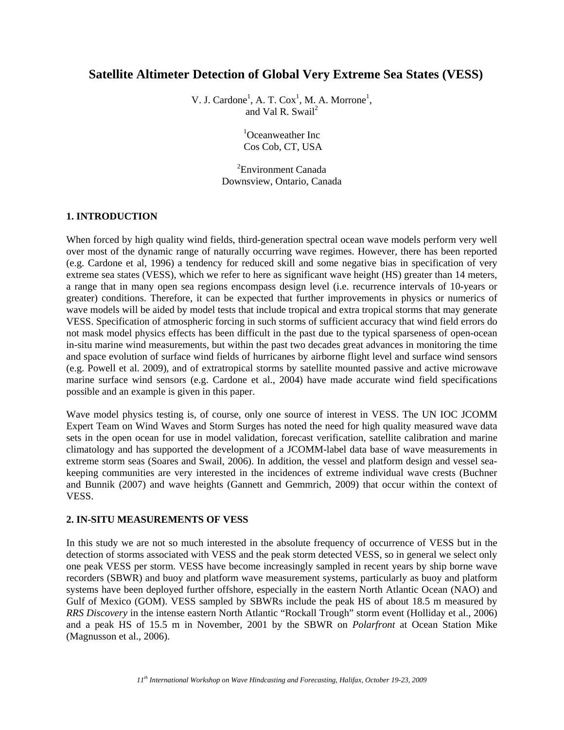## **Satellite Altimeter Detection of Global Very Extreme Sea States (VESS)**

V. J. Cardone<sup>1</sup>, A. T. Cox<sup>1</sup>, M. A. Morrone<sup>1</sup>, and Val R. Swail<sup>2</sup>

> <sup>1</sup>Oceanweather Inc Cos Cob, CT, USA

<sup>2</sup>Environment Canada Downsview, Ontario, Canada

### **1. INTRODUCTION**

When forced by high quality wind fields, third-generation spectral ocean wave models perform very well over most of the dynamic range of naturally occurring wave regimes. However, there has been reported (e.g. Cardone et al, 1996) a tendency for reduced skill and some negative bias in specification of very extreme sea states (VESS), which we refer to here as significant wave height (HS) greater than 14 meters, a range that in many open sea regions encompass design level (i.e. recurrence intervals of 10-years or greater) conditions. Therefore, it can be expected that further improvements in physics or numerics of wave models will be aided by model tests that include tropical and extra tropical storms that may generate VESS. Specification of atmospheric forcing in such storms of sufficient accuracy that wind field errors do not mask model physics effects has been difficult in the past due to the typical sparseness of open-ocean in-situ marine wind measurements, but within the past two decades great advances in monitoring the time and space evolution of surface wind fields of hurricanes by airborne flight level and surface wind sensors (e.g. Powell et al. 2009), and of extratropical storms by satellite mounted passive and active microwave marine surface wind sensors (e.g. Cardone et al., 2004) have made accurate wind field specifications possible and an example is given in this paper.

Wave model physics testing is, of course, only one source of interest in VESS. The UN IOC JCOMM Expert Team on Wind Waves and Storm Surges has noted the need for high quality measured wave data sets in the open ocean for use in model validation, forecast verification, satellite calibration and marine climatology and has supported the development of a JCOMM-label data base of wave measurements in extreme storm seas (Soares and Swail, 2006). In addition, the vessel and platform design and vessel seakeeping communities are very interested in the incidences of extreme individual wave crests (Buchner and Bunnik (2007) and wave heights (Gannett and Gemmrich, 2009) that occur within the context of VESS.

### **2. IN-SITU MEASUREMENTS OF VESS**

In this study we are not so much interested in the absolute frequency of occurrence of VESS but in the detection of storms associated with VESS and the peak storm detected VESS, so in general we select only one peak VESS per storm. VESS have become increasingly sampled in recent years by ship borne wave recorders (SBWR) and buoy and platform wave measurement systems, particularly as buoy and platform systems have been deployed further offshore, especially in the eastern North Atlantic Ocean (NAO) and Gulf of Mexico (GOM). VESS sampled by SBWRs include the peak HS of about 18.5 m measured by *RRS Discovery* in the intense eastern North Atlantic "Rockall Trough" storm event (Holliday et al., 2006) and a peak HS of 15.5 m in November, 2001 by the SBWR on *Polarfront* at Ocean Station Mike (Magnusson et al., 2006).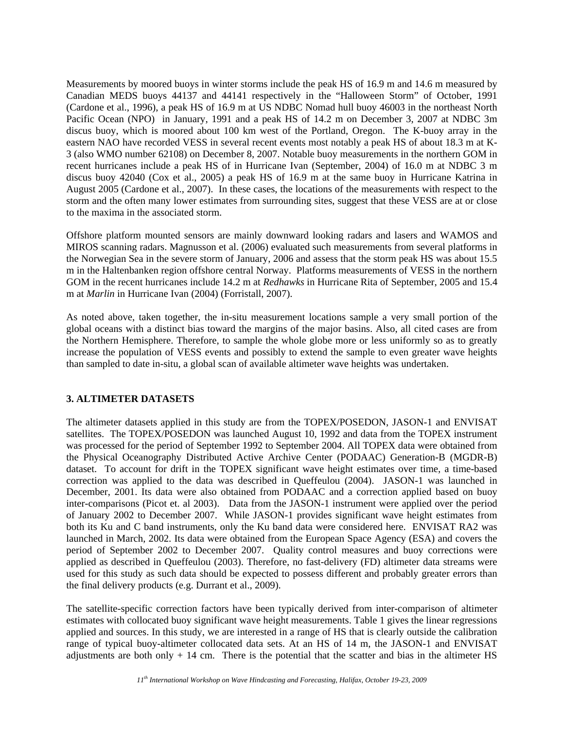Measurements by moored buoys in winter storms include the peak HS of 16.9 m and 14.6 m measured by Canadian MEDS buoys 44137 and 44141 respectively in the "Halloween Storm" of October, 1991 (Cardone et al., 1996), a peak HS of 16.9 m at US NDBC Nomad hull buoy 46003 in the northeast North Pacific Ocean (NPO) in January, 1991 and a peak HS of 14.2 m on December 3, 2007 at NDBC 3m discus buoy, which is moored about 100 km west of the Portland, Oregon. The K-buoy array in the eastern NAO have recorded VESS in several recent events most notably a peak HS of about 18.3 m at K-3 (also WMO number 62108) on December 8, 2007. Notable buoy measurements in the northern GOM in recent hurricanes include a peak HS of in Hurricane Ivan (September, 2004) of 16.0 m at NDBC 3 m discus buoy 42040 (Cox et al., 2005) a peak HS of 16.9 m at the same buoy in Hurricane Katrina in August 2005 (Cardone et al., 2007). In these cases, the locations of the measurements with respect to the storm and the often many lower estimates from surrounding sites, suggest that these VESS are at or close to the maxima in the associated storm.

Offshore platform mounted sensors are mainly downward looking radars and lasers and WAMOS and MIROS scanning radars. Magnusson et al. (2006) evaluated such measurements from several platforms in the Norwegian Sea in the severe storm of January, 2006 and assess that the storm peak HS was about 15.5 m in the Haltenbanken region offshore central Norway. Platforms measurements of VESS in the northern GOM in the recent hurricanes include 14.2 m at *Redhawks* in Hurricane Rita of September, 2005 and 15.4 m at *Marlin* in Hurricane Ivan (2004) (Forristall, 2007).

As noted above, taken together, the in-situ measurement locations sample a very small portion of the global oceans with a distinct bias toward the margins of the major basins. Also, all cited cases are from the Northern Hemisphere. Therefore, to sample the whole globe more or less uniformly so as to greatly increase the population of VESS events and possibly to extend the sample to even greater wave heights than sampled to date in-situ, a global scan of available altimeter wave heights was undertaken.

### **3. ALTIMETER DATASETS**

The altimeter datasets applied in this study are from the TOPEX/POSEDON, JASON-1 and ENVISAT satellites. The TOPEX/POSEDON was launched August 10, 1992 and data from the TOPEX instrument was processed for the period of September 1992 to September 2004. All TOPEX data were obtained from the Physical Oceanography Distributed Active Archive Center (PODAAC) Generation-B (MGDR-B) dataset. To account for drift in the TOPEX significant wave height estimates over time, a time-based correction was applied to the data was described in Queffeulou (2004). JASON-1 was launched in December, 2001. Its data were also obtained from PODAAC and a correction applied based on buoy inter-comparisons (Picot et. al 2003). Data from the JASON-1 instrument were applied over the period of January 2002 to December 2007. While JASON-1 provides significant wave height estimates from both its Ku and C band instruments, only the Ku band data were considered here. ENVISAT RA2 was launched in March, 2002. Its data were obtained from the European Space Agency (ESA) and covers the period of September 2002 to December 2007. Quality control measures and buoy corrections were applied as described in Queffeulou (2003). Therefore, no fast-delivery (FD) altimeter data streams were used for this study as such data should be expected to possess different and probably greater errors than the final delivery products (e.g. Durrant et al., 2009).

The satellite-specific correction factors have been typically derived from inter-comparison of altimeter estimates with collocated buoy significant wave height measurements. Table 1 gives the linear regressions applied and sources. In this study, we are interested in a range of HS that is clearly outside the calibration range of typical buoy-altimeter collocated data sets. At an HS of 14 m, the JASON-1 and ENVISAT adjustments are both only  $+14$  cm. There is the potential that the scatter and bias in the altimeter HS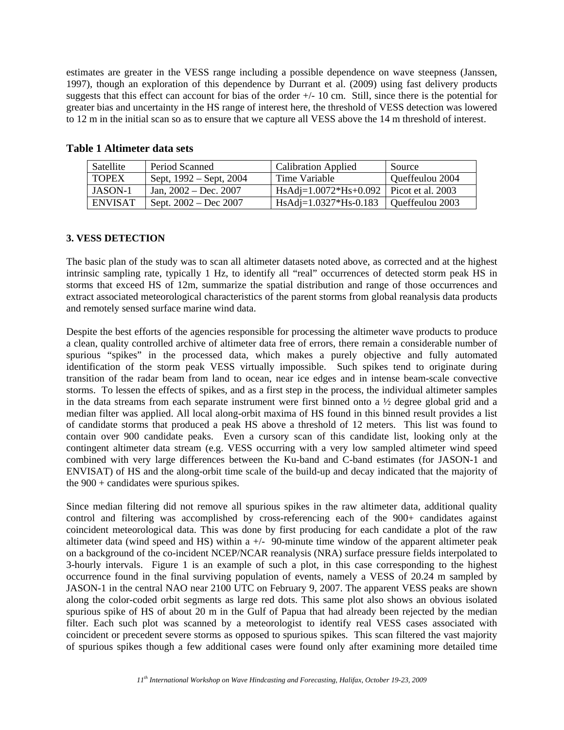estimates are greater in the VESS range including a possible dependence on wave steepness (Janssen, 1997), though an exploration of this dependence by Durrant et al. (2009) using fast delivery products suggests that this effect can account for bias of the order +/- 10 cm. Still, since there is the potential for greater bias and uncertainty in the HS range of interest here, the threshold of VESS detection was lowered to 12 m in the initial scan so as to ensure that we capture all VESS above the 14 m threshold of interest.

| Satellite      | Period Scanned          | <b>Calibration Applied</b>                 | Source          |
|----------------|-------------------------|--------------------------------------------|-----------------|
| <b>TOPEX</b>   | Sept, 1992 – Sept, 2004 | Time Variable                              | Queffeulou 2004 |
| JASON-1        | Jan. $2002 - Dec. 2007$ | HsAdj= $1.0072*Hs+0.092$ Picot et al. 2003 |                 |
| <b>ENVISAT</b> | Sept. $2002 - Dec 2007$ | $HsAdj=1.0327*Hs-0.183$                    | Queffeulou 2003 |

### **Table 1 Altimeter data sets**

### **3. VESS DETECTION**

The basic plan of the study was to scan all altimeter datasets noted above, as corrected and at the highest intrinsic sampling rate, typically 1 Hz, to identify all "real" occurrences of detected storm peak HS in storms that exceed HS of 12m, summarize the spatial distribution and range of those occurrences and extract associated meteorological characteristics of the parent storms from global reanalysis data products and remotely sensed surface marine wind data.

Despite the best efforts of the agencies responsible for processing the altimeter wave products to produce a clean, quality controlled archive of altimeter data free of errors, there remain a considerable number of spurious "spikes" in the processed data, which makes a purely objective and fully automated identification of the storm peak VESS virtually impossible. Such spikes tend to originate during transition of the radar beam from land to ocean, near ice edges and in intense beam-scale convective storms. To lessen the effects of spikes, and as a first step in the process, the individual altimeter samples in the data streams from each separate instrument were first binned onto a ½ degree global grid and a median filter was applied. All local along-orbit maxima of HS found in this binned result provides a list of candidate storms that produced a peak HS above a threshold of 12 meters. This list was found to contain over 900 candidate peaks. Even a cursory scan of this candidate list, looking only at the contingent altimeter data stream (e.g. VESS occurring with a very low sampled altimeter wind speed combined with very large differences between the Ku-band and C-band estimates (for JASON-1 and ENVISAT) of HS and the along-orbit time scale of the build-up and decay indicated that the majority of the  $900 +$  candidates were spurious spikes.

Since median filtering did not remove all spurious spikes in the raw altimeter data, additional quality control and filtering was accomplished by cross-referencing each of the 900+ candidates against coincident meteorological data. This was done by first producing for each candidate a plot of the raw altimeter data (wind speed and HS) within a  $+/-$  90-minute time window of the apparent altimeter peak on a background of the co-incident NCEP/NCAR reanalysis (NRA) surface pressure fields interpolated to 3-hourly intervals. Figure 1 is an example of such a plot, in this case corresponding to the highest occurrence found in the final surviving population of events, namely a VESS of 20.24 m sampled by JASON-1 in the central NAO near 2100 UTC on February 9, 2007. The apparent VESS peaks are shown along the color-coded orbit segments as large red dots. This same plot also shows an obvious isolated spurious spike of HS of about 20 m in the Gulf of Papua that had already been rejected by the median filter. Each such plot was scanned by a meteorologist to identify real VESS cases associated with coincident or precedent severe storms as opposed to spurious spikes. This scan filtered the vast majority of spurious spikes though a few additional cases were found only after examining more detailed time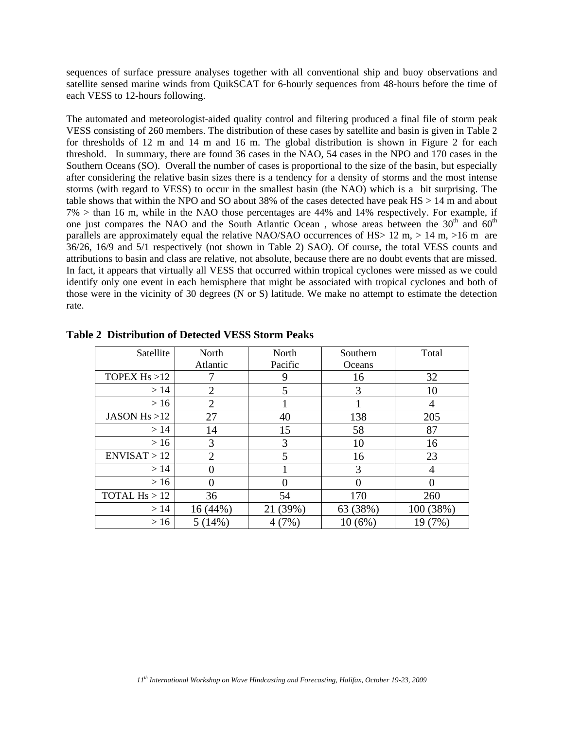sequences of surface pressure analyses together with all conventional ship and buoy observations and satellite sensed marine winds from QuikSCAT for 6-hourly sequences from 48-hours before the time of each VESS to 12-hours following.

The automated and meteorologist-aided quality control and filtering produced a final file of storm peak VESS consisting of 260 members. The distribution of these cases by satellite and basin is given in Table 2 for thresholds of 12 m and 14 m and 16 m. The global distribution is shown in Figure 2 for each threshold. In summary, there are found 36 cases in the NAO, 54 cases in the NPO and 170 cases in the Southern Oceans (SO). Overall the number of cases is proportional to the size of the basin, but especially after considering the relative basin sizes there is a tendency for a density of storms and the most intense storms (with regard to VESS) to occur in the smallest basin (the NAO) which is a bit surprising. The table shows that within the NPO and SO about 38% of the cases detected have peak HS > 14 m and about 7% > than 16 m, while in the NAO those percentages are 44% and 14% respectively. For example, if one just compares the NAO and the South Atlantic Ocean, whose areas between the  $30<sup>th</sup>$  and  $60<sup>th</sup>$ parallels are approximately equal the relative NAO/SAO occurrences of HS $> 12$  m,  $> 14$  m,  $>16$  m are 36/26, 16/9 and 5/1 respectively (not shown in Table 2) SAO). Of course, the total VESS counts and attributions to basin and class are relative, not absolute, because there are no doubt events that are missed. In fact, it appears that virtually all VESS that occurred within tropical cyclones were missed as we could identify only one event in each hemisphere that might be associated with tropical cyclones and both of those were in the vicinity of 30 degrees (N or S) latitude. We make no attempt to estimate the detection rate.

| Satellite       | North          | North    | Southern | Total             |
|-----------------|----------------|----------|----------|-------------------|
|                 | Atlantic       | Pacific  | Oceans   |                   |
| TOPEX $Hs > 12$ |                | 9        | 16       | 32                |
| >14             | $\overline{2}$ | 5        | 3        | 10                |
| >16             | 2              |          |          | 4                 |
| JASON $Hs > 12$ | 27             | 40       | 138      | 205               |
| >14             | 14             | 15       | 58       | 87                |
| >16             | 3              | 3        | 10       | 16                |
| ENVISAT > 12    | $\overline{2}$ | 5        | 16       | 23                |
| >14             |                |          | 3        | 4                 |
| >16             |                | 0        |          | $\mathbf{\Omega}$ |
| TOTAL $Hs > 12$ | 36             | 54       | 170      | 260               |
| >14             | 16(44%)        | 21 (39%) | 63 (38%) | 100 (38%)         |
| >16             | 5(14%)         | 4(7%)    | 10(6%)   | 19 (7%)           |

**Table 2 Distribution of Detected VESS Storm Peaks**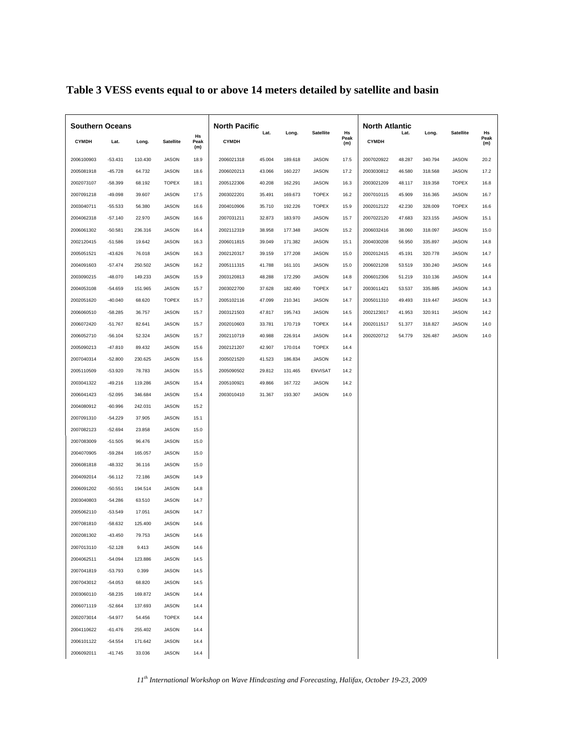| <b>Southern Oceans</b> |              |           |         | <b>North Pacific</b> |                   |              |        |         | <b>North Atlantic</b> |                   |              |        |         |                  |                   |
|------------------------|--------------|-----------|---------|----------------------|-------------------|--------------|--------|---------|-----------------------|-------------------|--------------|--------|---------|------------------|-------------------|
|                        | <b>CYMDH</b> | Lat.      | Long.   | <b>Satellite</b>     | Hs<br>Peak<br>(m) | <b>CYMDH</b> | Lat.   | Long.   | <b>Satellite</b>      | Hs<br>Peak<br>(m) | <b>CYMDH</b> | Lat.   | Long.   | <b>Satellite</b> | Hs<br>Peak<br>(m) |
|                        | 2006100903   | $-53.431$ | 110.430 | <b>JASON</b>         | 18.9              | 2006021318   | 45.004 | 189.618 | <b>JASON</b>          | 17.5              | 2007020922   | 48.287 | 340.794 | <b>JASON</b>     | 20.2              |
|                        | 2005081918   | $-45.728$ | 64.732  | <b>JASON</b>         | 18.6              | 2006020213   | 43.066 | 160.227 | JASON                 | 17.2              | 2003030812   | 46.580 | 318.568 | <b>JASON</b>     | 17.2              |
|                        | 2002073107   | $-58.399$ | 68.192  | <b>TOPEX</b>         | 18.1              | 2005122306   | 40.208 | 162.291 | JASON                 | 16.3              | 2003021209   | 48.117 | 319.358 | <b>TOPEX</b>     | 16.8              |
|                        | 2007091218   | $-49.098$ | 39.607  | <b>JASON</b>         | 17.5              | 2003022201   | 35.491 | 169.673 | <b>TOPEX</b>          | 16.2              | 2007010115   | 45.909 | 316.365 | <b>JASON</b>     | 16.7              |
|                        | 2003040711   | $-55.533$ | 56.380  | JASON                | 16.6              | 2004010906   | 35.710 | 192.226 | <b>TOPEX</b>          | 15.9              | 2002012122   | 42.230 | 328.009 | <b>TOPEX</b>     | 16.6              |
|                        | 2004062318   | $-57.140$ | 22.970  | <b>JASON</b>         | 16.6              | 2007031211   | 32.873 | 183.970 | <b>JASON</b>          | 15.7              | 2007022120   | 47.683 | 323.155 | <b>JASON</b>     | 15.1              |
|                        | 2006061302   | $-50.581$ | 236.316 | JASON                | 16.4              | 2002112319   | 38.958 | 177.348 | JASON                 | 15.2              | 2006032416   | 38.060 | 318.097 | JASON            | 15.0              |
|                        | 2002120415   | $-51.586$ | 19.642  | <b>JASON</b>         | 16.3              | 2006011815   | 39.049 | 171.382 | <b>JASON</b>          | 15.1              | 2004030208   | 56.950 | 335.897 | <b>JASON</b>     | 14.8              |
|                        | 2005051521   | $-43.626$ | 76.018  | JASON                | 16.3              | 2002120317   | 39.159 | 177.208 | <b>JASON</b>          | 15.0              | 2002012415   | 45.191 | 320.778 | JASON            | 14.7              |
|                        | 2004091603   | $-57.474$ | 250.502 | <b>JASON</b>         | 16.2              | 2005111315   | 41.788 | 161.101 | <b>JASON</b>          | 15.0              | 2006021208   | 53.519 | 330.240 | <b>JASON</b>     | 14.6              |
|                        | 2003090215   | $-48.070$ | 149.233 | JASON                | 15.9              | 2003120813   | 48.288 | 172.290 | JASON                 | 14.8              | 2006012306   | 51.219 | 310.136 | JASON            | 14.4              |
|                        | 2004053108   | $-54.659$ | 151.965 | <b>JASON</b>         | 15.7              | 2003022700   | 37.628 | 182.490 | <b>TOPEX</b>          | 14.7              | 2003011421   | 53.537 | 335.885 | <b>JASON</b>     | 14.3              |
|                        | 2002051620   | $-40.040$ | 68.620  | <b>TOPEX</b>         | 15.7              | 2005102116   | 47.099 | 210.341 | JASON                 | 14.7              | 2005011310   | 49.493 | 319.447 | <b>JASON</b>     | 14.3              |
|                        | 2006060510   | $-58.285$ | 36.757  | <b>JASON</b>         | 15.7              | 2003121503   | 47.817 | 195.743 | <b>JASON</b>          | 14.5              | 2002123017   | 41.953 | 320.911 | <b>JASON</b>     | 14.2              |
|                        | 2006072420   | $-51.767$ | 82.641  | JASON                | 15.7              | 2002010603   | 33.781 | 170.719 | <b>TOPEX</b>          | 14.4              | 2002011517   | 51.377 | 318.827 | JASON            | 14.0              |
|                        | 2006052710   | $-56.104$ | 52.324  | <b>JASON</b>         | 15.7              | 2002110719   | 40.988 | 226.914 | <b>JASON</b>          | 14.4              | 2002020712   | 54.779 | 326.487 | <b>JASON</b>     | 14.0              |
|                        | 2005090213   | $-47.810$ | 89.432  | JASON                | 15.6              | 2002121207   | 42.907 | 170.014 | <b>TOPEX</b>          | 14.4              |              |        |         |                  |                   |
|                        | 2007040314   | $-52.800$ | 230.625 | <b>JASON</b>         | 15.6              | 2005021520   | 41.523 | 186.834 | <b>JASON</b>          | 14.2              |              |        |         |                  |                   |
|                        | 2005110509   | $-53.920$ | 78.783  | JASON                | 15.5              | 2005090502   | 29.812 | 131.465 | ENVISAT               | 14.2              |              |        |         |                  |                   |
|                        | 2003041322   | $-49.216$ | 119.286 | <b>JASON</b>         | 15.4              | 2005100921   | 49.866 | 167.722 | <b>JASON</b>          | 14.2              |              |        |         |                  |                   |
|                        | 2006041423   | $-52.095$ | 346.684 | JASON                | 15.4              | 2003010410   | 31.367 | 193.307 | <b>JASON</b>          | 14.0              |              |        |         |                  |                   |
|                        | 2004080912   | $-60.996$ | 242.031 | <b>JASON</b>         | 15.2              |              |        |         |                       |                   |              |        |         |                  |                   |
|                        | 2007091310   | $-54.229$ | 37.905  | JASON                | 15.1              |              |        |         |                       |                   |              |        |         |                  |                   |
|                        | 2007082123   | $-52.694$ | 23.858  | <b>JASON</b>         | 15.0              |              |        |         |                       |                   |              |        |         |                  |                   |
|                        | 2007083009   | $-51.505$ | 96.476  | <b>JASON</b>         | 15.0              |              |        |         |                       |                   |              |        |         |                  |                   |
|                        | 2004070905   | $-59.284$ | 165.057 | <b>JASON</b>         | 15.0              |              |        |         |                       |                   |              |        |         |                  |                   |
|                        | 2006081818   | $-48.332$ | 36.116  | JASON                | 15.0              |              |        |         |                       |                   |              |        |         |                  |                   |
|                        | 2004092014   | $-56.112$ | 72.186  | <b>JASON</b>         | 14.9              |              |        |         |                       |                   |              |        |         |                  |                   |
|                        | 2006091202   | $-50.551$ | 194.514 | <b>JASON</b>         | 14.8              |              |        |         |                       |                   |              |        |         |                  |                   |
|                        | 2003040803   | $-54.286$ | 63.510  | <b>JASON</b>         | 14.7              |              |        |         |                       |                   |              |        |         |                  |                   |
|                        | 2005062110   | $-53.549$ | 17.051  | JASON                | 14.7              |              |        |         |                       |                   |              |        |         |                  |                   |
|                        | 2007081810   | $-58.632$ | 125.400 | <b>JASON</b>         | 14.6              |              |        |         |                       |                   |              |        |         |                  |                   |
|                        | 2002081302   | $-43.450$ | 79.753  | <b>JASON</b>         | 14.6              |              |        |         |                       |                   |              |        |         |                  |                   |
|                        | 2007013110   | $-52.128$ | 9.413   | <b>JASON</b>         | 14.6              |              |        |         |                       |                   |              |        |         |                  |                   |
|                        | 2004062511   | $-54.094$ | 123.886 | <b>JASON</b>         | 14.5              |              |        |         |                       |                   |              |        |         |                  |                   |
|                        | 2007041819   | $-53.793$ | 0.399   | <b>JASON</b>         | 14.5              |              |        |         |                       |                   |              |        |         |                  |                   |
|                        | 2007043012   | $-54.053$ | 68.820  | <b>JASON</b>         | 14.5              |              |        |         |                       |                   |              |        |         |                  |                   |
|                        | 2003060110   | $-58.235$ | 169.872 | <b>JASON</b>         | 14.4              |              |        |         |                       |                   |              |        |         |                  |                   |
|                        | 2006071119   | $-52.664$ | 137.693 | <b>JASON</b>         | 14.4              |              |        |         |                       |                   |              |        |         |                  |                   |
|                        | 2002073014   | $-54.977$ | 54.456  | <b>TOPEX</b>         | 14.4              |              |        |         |                       |                   |              |        |         |                  |                   |
|                        | 2004110622   | $-61.476$ | 255.402 | <b>JASON</b>         | 14.4              |              |        |         |                       |                   |              |        |         |                  |                   |
|                        | 2006101122   | $-54.554$ | 171.642 | <b>JASON</b>         | 14.4              |              |        |         |                       |                   |              |        |         |                  |                   |
|                        | 2006092011   | $-41.745$ | 33.036  | <b>JASON</b>         | 14.4              |              |        |         |                       |                   |              |        |         |                  |                   |
|                        |              |           |         |                      |                   |              |        |         |                       |                   |              |        |         |                  |                   |

# **Table 3 VESS events equal to or above 14 meters detailed by satellite and basin**

*11th International Workshop on Wave Hindcasting and Forecasting, Halifax, October 19-23, 2009*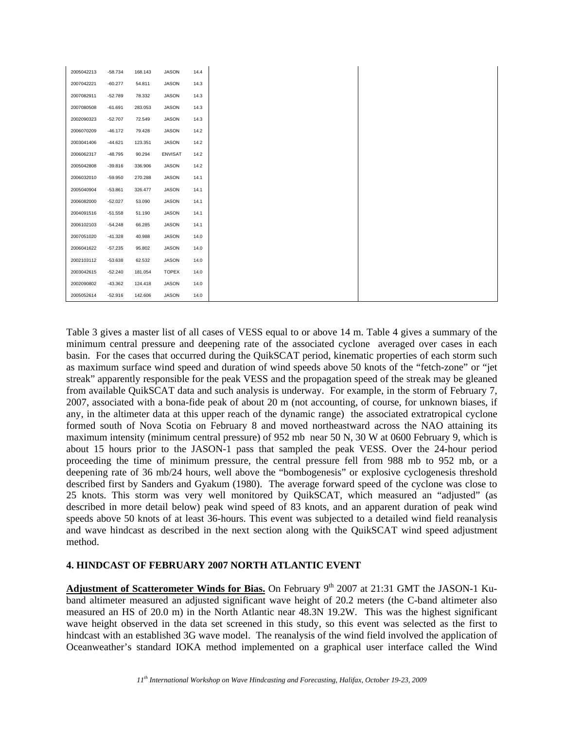| 2005042213 | $-58.734$ | 168.143 | <b>JASON</b>   | 14.4 |
|------------|-----------|---------|----------------|------|
| 2007042221 | $-60.277$ | 54.811  | JASON          | 14.3 |
| 2007082911 | $-52.789$ | 78.332  | <b>JASON</b>   | 14.3 |
| 2007080508 | $-61.691$ | 283.053 | JASON          | 14.3 |
| 2002090323 | $-52.707$ | 72.549  | JASON          | 14.3 |
| 2006070209 | $-46.172$ | 79.428  | <b>JASON</b>   | 14.2 |
| 2003041406 | $-44.621$ | 123.351 | JASON          | 14.2 |
| 2006062317 | $-48.795$ | 90.294  | <b>ENVISAT</b> | 14.2 |
| 2005042808 | $-39.816$ | 336.906 | JASON          | 14.2 |
| 2006032010 | $-59.950$ | 270.288 | JASON          | 14.1 |
| 2005040904 | $-53.861$ | 326.477 | JASON          | 14.1 |
| 2006082000 | $-52.027$ | 53.090  | JASON          | 14.1 |
| 2004091516 | $-51.558$ | 51.190  | JASON          | 14.1 |
| 2006102103 | $-54.248$ | 66.285  | JASON          | 14.1 |
| 2007051020 | $-41.328$ | 40.988  | JASON          | 14.0 |
| 2006041622 | $-57.235$ | 95.802  | <b>JASON</b>   | 14.0 |
| 2002103112 | $-53.638$ | 62.532  | JASON          | 14.0 |
| 2003042615 | $-52.240$ | 181.054 | <b>TOPEX</b>   | 14.0 |
| 2002090802 | $-43.362$ | 124.418 | JASON          | 14.0 |
| 2005052614 | $-52.916$ | 142.606 | JASON          | 14.0 |

Table 3 gives a master list of all cases of VESS equal to or above 14 m. Table 4 gives a summary of the minimum central pressure and deepening rate of the associated cyclone averaged over cases in each basin. For the cases that occurred during the QuikSCAT period, kinematic properties of each storm such as maximum surface wind speed and duration of wind speeds above 50 knots of the "fetch-zone" or "jet streak" apparently responsible for the peak VESS and the propagation speed of the streak may be gleaned from available QuikSCAT data and such analysis is underway. For example, in the storm of February 7, 2007, associated with a bona-fide peak of about 20 m (not accounting, of course, for unknown biases, if any, in the altimeter data at this upper reach of the dynamic range) the associated extratropical cyclone formed south of Nova Scotia on February 8 and moved northeastward across the NAO attaining its maximum intensity (minimum central pressure) of 952 mb near 50 N, 30 W at 0600 February 9, which is about 15 hours prior to the JASON-1 pass that sampled the peak VESS. Over the 24-hour period proceeding the time of minimum pressure, the central pressure fell from 988 mb to 952 mb, or a deepening rate of 36 mb/24 hours, well above the "bombogenesis" or explosive cyclogenesis threshold described first by Sanders and Gyakum (1980). The average forward speed of the cyclone was close to 25 knots. This storm was very well monitored by QuikSCAT, which measured an "adjusted" (as described in more detail below) peak wind speed of 83 knots, and an apparent duration of peak wind speeds above 50 knots of at least 36-hours. This event was subjected to a detailed wind field reanalysis and wave hindcast as described in the next section along with the QuikSCAT wind speed adjustment method.

## **4. HINDCAST OF FEBRUARY 2007 NORTH ATLANTIC EVENT**

Adjustment of Scatterometer Winds for Bias. On February 9<sup>th</sup> 2007 at 21:31 GMT the JASON-1 Kuband altimeter measured an adjusted significant wave height of 20.2 meters (the C-band altimeter also measured an HS of 20.0 m) in the North Atlantic near 48.3N 19.2W. This was the highest significant wave height observed in the data set screened in this study, so this event was selected as the first to hindcast with an established 3G wave model. The reanalysis of the wind field involved the application of Oceanweather's standard IOKA method implemented on a graphical user interface called the Wind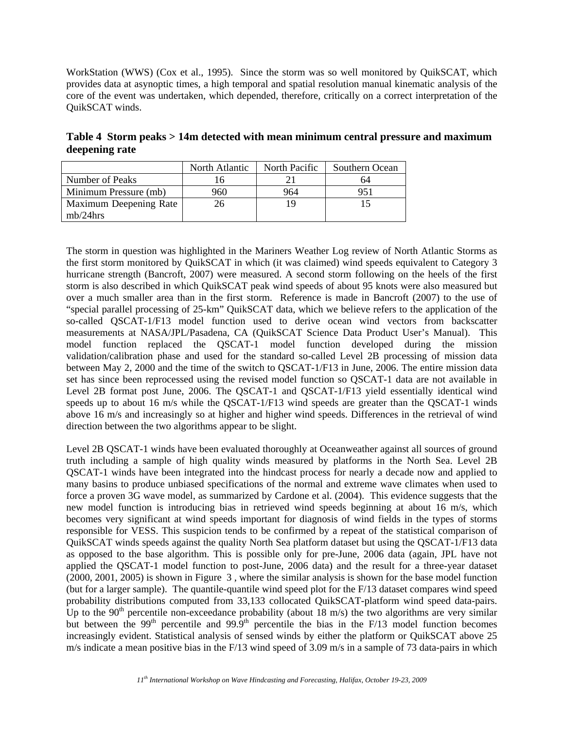WorkStation (WWS) (Cox et al., 1995). Since the storm was so well monitored by QuikSCAT, which provides data at asynoptic times, a high temporal and spatial resolution manual kinematic analysis of the core of the event was undertaken, which depended, therefore, critically on a correct interpretation of the QuikSCAT winds.

**Table 4 Storm peaks > 14m detected with mean minimum central pressure and maximum deepening rate** 

|                        | North Atlantic | North Pacific | Southern Ocean |  |
|------------------------|----------------|---------------|----------------|--|
| Number of Peaks        |                |               | 64             |  |
| Minimum Pressure (mb)  | 960            | 964           |                |  |
| Maximum Deepening Rate | 26             | 19            |                |  |
| $mb/24$ hrs            |                |               |                |  |

The storm in question was highlighted in the Mariners Weather Log review of North Atlantic Storms as the first storm monitored by QuikSCAT in which (it was claimed) wind speeds equivalent to Category 3 hurricane strength (Bancroft, 2007) were measured. A second storm following on the heels of the first storm is also described in which QuikSCAT peak wind speeds of about 95 knots were also measured but over a much smaller area than in the first storm. Reference is made in Bancroft (2007) to the use of "special parallel processing of 25-km" QuikSCAT data, which we believe refers to the application of the so-called QSCAT-1/F13 model function used to derive ocean wind vectors from backscatter measurements at NASA/JPL/Pasadena, CA (QuikSCAT Science Data Product User's Manual). This model function replaced the QSCAT-1 model function developed during the mission validation/calibration phase and used for the standard so-called Level 2B processing of mission data between May 2, 2000 and the time of the switch to QSCAT-1/F13 in June, 2006. The entire mission data set has since been reprocessed using the revised model function so QSCAT-1 data are not available in Level 2B format post June, 2006. The QSCAT-1 and QSCAT-1/F13 yield essentially identical wind speeds up to about 16 m/s while the QSCAT-1/F13 wind speeds are greater than the QSCAT-1 winds above 16 m/s and increasingly so at higher and higher wind speeds. Differences in the retrieval of wind direction between the two algorithms appear to be slight.

Level 2B QSCAT-1 winds have been evaluated thoroughly at Oceanweather against all sources of ground truth including a sample of high quality winds measured by platforms in the North Sea. Level 2B QSCAT-1 winds have been integrated into the hindcast process for nearly a decade now and applied to many basins to produce unbiased specifications of the normal and extreme wave climates when used to force a proven 3G wave model, as summarized by Cardone et al. (2004). This evidence suggests that the new model function is introducing bias in retrieved wind speeds beginning at about 16 m/s, which becomes very significant at wind speeds important for diagnosis of wind fields in the types of storms responsible for VESS. This suspicion tends to be confirmed by a repeat of the statistical comparison of QuikSCAT winds speeds against the quality North Sea platform dataset but using the QSCAT-1/F13 data as opposed to the base algorithm. This is possible only for pre-June, 2006 data (again, JPL have not applied the QSCAT-1 model function to post-June, 2006 data) and the result for a three-year dataset (2000, 2001, 2005) is shown in Figure 3 , where the similar analysis is shown for the base model function (but for a larger sample). The quantile-quantile wind speed plot for the F/13 dataset compares wind speed probability distributions computed from 33,133 collocated QuikSCAT-platform wind speed data-pairs. Up to the  $90<sup>th</sup>$  percentile non-exceedance probability (about 18 m/s) the two algorithms are very similar but between the  $99<sup>th</sup>$  percentile and  $99.9<sup>th</sup>$  percentile the bias in the F/13 model function becomes increasingly evident. Statistical analysis of sensed winds by either the platform or QuikSCAT above 25 m/s indicate a mean positive bias in the F/13 wind speed of 3.09 m/s in a sample of 73 data-pairs in which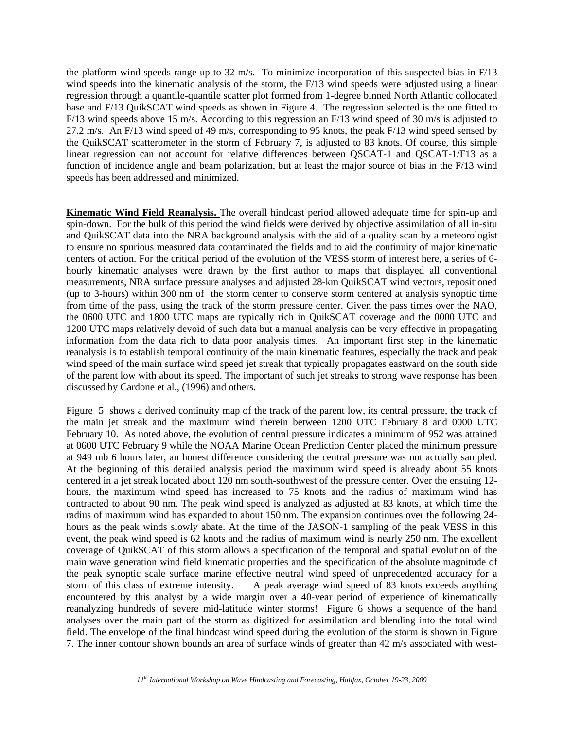the platform wind speeds range up to 32 m/s. To minimize incorporation of this suspected bias in F/13 wind speeds into the kinematic analysis of the storm, the F/13 wind speeds were adjusted using a linear regression through a quantile-quantile scatter plot formed from 1-degree binned North Atlantic collocated base and F/13 QuikSCAT wind speeds as shown in Figure 4. The regression selected is the one fitted to F/13 wind speeds above 15 m/s. According to this regression an F/13 wind speed of 30 m/s is adjusted to 27.2 m/s. An F/13 wind speed of 49 m/s, corresponding to 95 knots, the peak F/13 wind speed sensed by the QuikSCAT scatterometer in the storm of February 7, is adjusted to 83 knots. Of course, this simple linear regression can not account for relative differences between QSCAT-1 and QSCAT-1/F13 as a function of incidence angle and beam polarization, but at least the major source of bias in the F/13 wind speeds has been addressed and minimized.

**Kinematic Wind Field Reanalysis.** The overall hindcast period allowed adequate time for spin-up and spin-down. For the bulk of this period the wind fields were derived by objective assimilation of all in-situ and QuikSCAT data into the NRA background analysis with the aid of a quality scan by a meteorologist to ensure no spurious measured data contaminated the fields and to aid the continuity of major kinematic centers of action. For the critical period of the evolution of the VESS storm of interest here, a series of 6 hourly kinematic analyses were drawn by the first author to maps that displayed all conventional measurements, NRA surface pressure analyses and adjusted 28-km QuikSCAT wind vectors, repositioned (up to 3-hours) within 300 nm of the storm center to conserve storm centered at analysis synoptic time from time of the pass, using the track of the storm pressure center. Given the pass times over the NAO, the 0600 UTC and 1800 UTC maps are typically rich in QuikSCAT coverage and the 0000 UTC and 1200 UTC maps relatively devoid of such data but a manual analysis can be very effective in propagating information from the data rich to data poor analysis times. An important first step in the kinematic reanalysis is to establish temporal continuity of the main kinematic features, especially the track and peak wind speed of the main surface wind speed jet streak that typically propagates eastward on the south side of the parent low with about its speed. The important of such jet streaks to strong wave response has been discussed by Cardone et al., (1996) and others.

Figure 5 shows a derived continuity map of the track of the parent low, its central pressure, the track of the main jet streak and the maximum wind therein between 1200 UTC February 8 and 0000 UTC February 10. As noted above, the evolution of central pressure indicates a minimum of 952 was attained at 0600 UTC February 9 while the NOAA Marine Ocean Prediction Center placed the minimum pressure at 949 mb 6 hours later, an honest difference considering the central pressure was not actually sampled. At the beginning of this detailed analysis period the maximum wind speed is already about 55 knots centered in a jet streak located about 120 nm south-southwest of the pressure center. Over the ensuing 12 hours, the maximum wind speed has increased to 75 knots and the radius of maximum wind has contracted to about 90 nm. The peak wind speed is analyzed as adjusted at 83 knots, at which time the radius of maximum wind has expanded to about 150 nm. The expansion continues over the following 24 hours as the peak winds slowly abate. At the time of the JASON-1 sampling of the peak VESS in this event, the peak wind speed is 62 knots and the radius of maximum wind is nearly 250 nm. The excellent coverage of QuikSCAT of this storm allows a specification of the temporal and spatial evolution of the main wave generation wind field kinematic properties and the specification of the absolute magnitude of the peak synoptic scale surface marine effective neutral wind speed of unprecedented accuracy for a storm of this class of extreme intensity. A peak average wind speed of 83 knots exceeds anything encountered by this analyst by a wide margin over a 40-year period of experience of kinematically reanalyzing hundreds of severe mid-latitude winter storms! Figure 6 shows a sequence of the hand analyses over the main part of the storm as digitized for assimilation and blending into the total wind field. The envelope of the final hindcast wind speed during the evolution of the storm is shown in Figure 7. The inner contour shown bounds an area of surface winds of greater than 42 m/s associated with west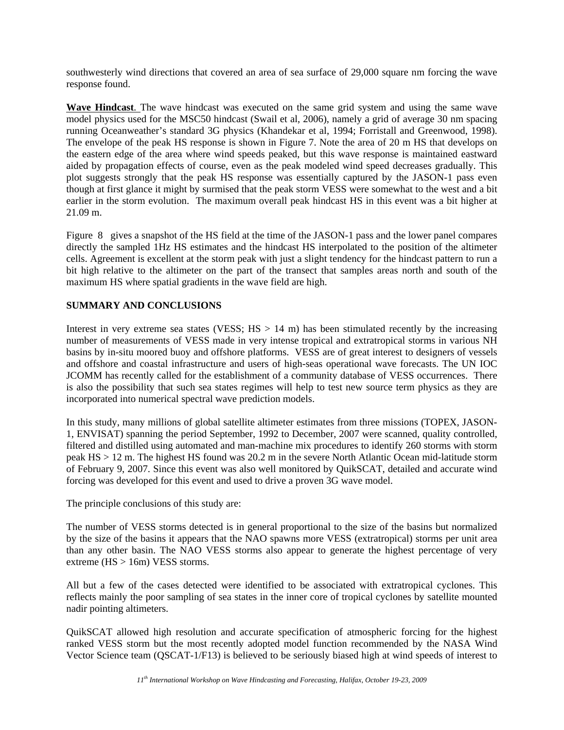southwesterly wind directions that covered an area of sea surface of 29,000 square nm forcing the wave response found.

**Wave Hindcast**. The wave hindcast was executed on the same grid system and using the same wave model physics used for the MSC50 hindcast (Swail et al, 2006), namely a grid of average 30 nm spacing running Oceanweather's standard 3G physics (Khandekar et al, 1994; Forristall and Greenwood, 1998). The envelope of the peak HS response is shown in Figure 7. Note the area of 20 m HS that develops on the eastern edge of the area where wind speeds peaked, but this wave response is maintained eastward aided by propagation effects of course, even as the peak modeled wind speed decreases gradually. This plot suggests strongly that the peak HS response was essentially captured by the JASON-1 pass even though at first glance it might by surmised that the peak storm VESS were somewhat to the west and a bit earlier in the storm evolution. The maximum overall peak hindcast HS in this event was a bit higher at 21.09 m.

Figure 8 gives a snapshot of the HS field at the time of the JASON-1 pass and the lower panel compares directly the sampled 1Hz HS estimates and the hindcast HS interpolated to the position of the altimeter cells. Agreement is excellent at the storm peak with just a slight tendency for the hindcast pattern to run a bit high relative to the altimeter on the part of the transect that samples areas north and south of the maximum HS where spatial gradients in the wave field are high.

### **SUMMARY AND CONCLUSIONS**

Interest in very extreme sea states (VESS;  $HS > 14$  m) has been stimulated recently by the increasing number of measurements of VESS made in very intense tropical and extratropical storms in various NH basins by in-situ moored buoy and offshore platforms. VESS are of great interest to designers of vessels and offshore and coastal infrastructure and users of high-seas operational wave forecasts. The UN IOC JCOMM has recently called for the establishment of a community database of VESS occurrences. There is also the possibility that such sea states regimes will help to test new source term physics as they are incorporated into numerical spectral wave prediction models.

In this study, many millions of global satellite altimeter estimates from three missions (TOPEX, JASON-1, ENVISAT) spanning the period September, 1992 to December, 2007 were scanned, quality controlled, filtered and distilled using automated and man-machine mix procedures to identify 260 storms with storm peak HS > 12 m. The highest HS found was 20.2 m in the severe North Atlantic Ocean mid-latitude storm of February 9, 2007. Since this event was also well monitored by QuikSCAT, detailed and accurate wind forcing was developed for this event and used to drive a proven 3G wave model.

The principle conclusions of this study are:

The number of VESS storms detected is in general proportional to the size of the basins but normalized by the size of the basins it appears that the NAO spawns more VESS (extratropical) storms per unit area than any other basin. The NAO VESS storms also appear to generate the highest percentage of very extreme (HS > 16m) VESS storms.

All but a few of the cases detected were identified to be associated with extratropical cyclones. This reflects mainly the poor sampling of sea states in the inner core of tropical cyclones by satellite mounted nadir pointing altimeters.

QuikSCAT allowed high resolution and accurate specification of atmospheric forcing for the highest ranked VESS storm but the most recently adopted model function recommended by the NASA Wind Vector Science team (QSCAT-1/F13) is believed to be seriously biased high at wind speeds of interest to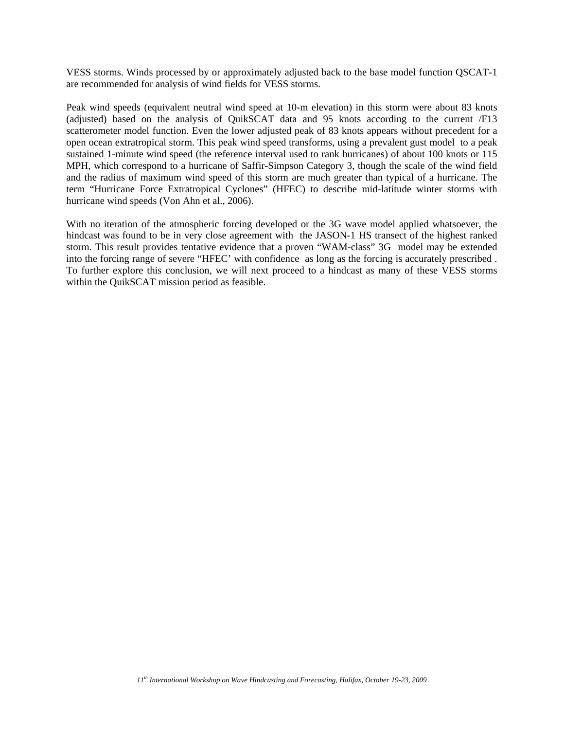VESS storms. Winds processed by or approximately adjusted back to the base model function QSCAT-1 are recommended for analysis of wind fields for VESS storms.

Peak wind speeds (equivalent neutral wind speed at 10-m elevation) in this storm were about 83 knots (adjusted) based on the analysis of QuikSCAT data and 95 knots according to the current /F13 scatterometer model function. Even the lower adjusted peak of 83 knots appears without precedent for a open ocean extratropical storm. This peak wind speed transforms, using a prevalent gust model to a peak sustained 1-minute wind speed (the reference interval used to rank hurricanes) of about 100 knots or 115 MPH, which correspond to a hurricane of Saffir-Simpson Category 3, though the scale of the wind field and the radius of maximum wind speed of this storm are much greater than typical of a hurricane. The term "Hurricane Force Extratropical Cyclones" (HFEC) to describe mid-latitude winter storms with hurricane wind speeds (Von Ahn et al., 2006).

With no iteration of the atmospheric forcing developed or the 3G wave model applied whatsoever, the hindcast was found to be in very close agreement with the JASON-1 HS transect of the highest ranked storm. This result provides tentative evidence that a proven "WAM-class" 3G model may be extended into the forcing range of severe "HFEC' with confidence as long as the forcing is accurately prescribed . To further explore this conclusion, we will next proceed to a hindcast as many of these VESS storms within the QuikSCAT mission period as feasible.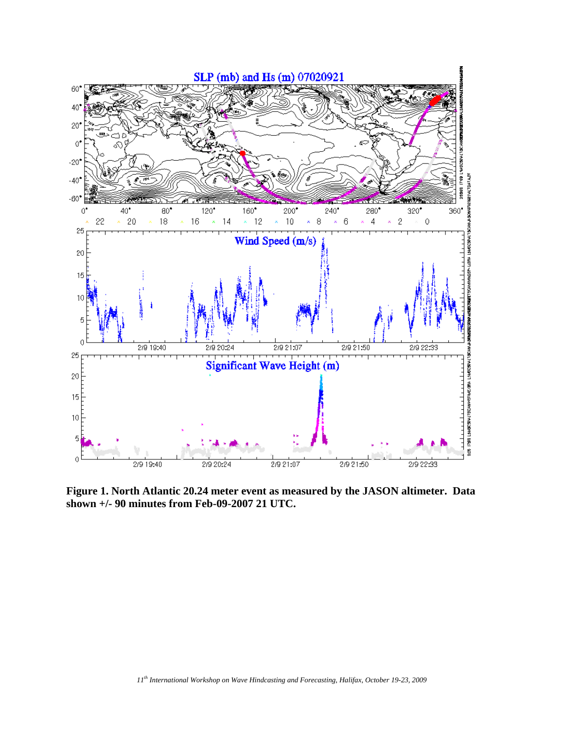

**Figure 1. North Atlantic 20.24 meter event as measured by the JASON altimeter. Data shown +/- 90 minutes from Feb-09-2007 21 UTC.**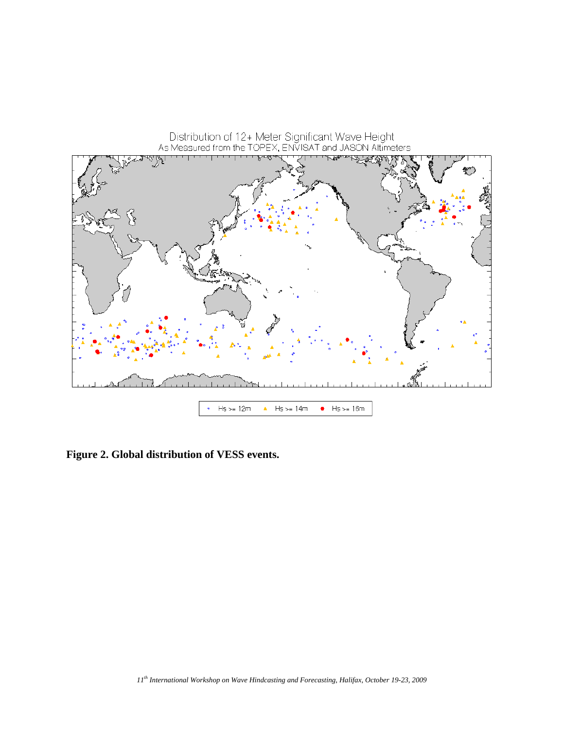

**Figure 2. Global distribution of VESS events.**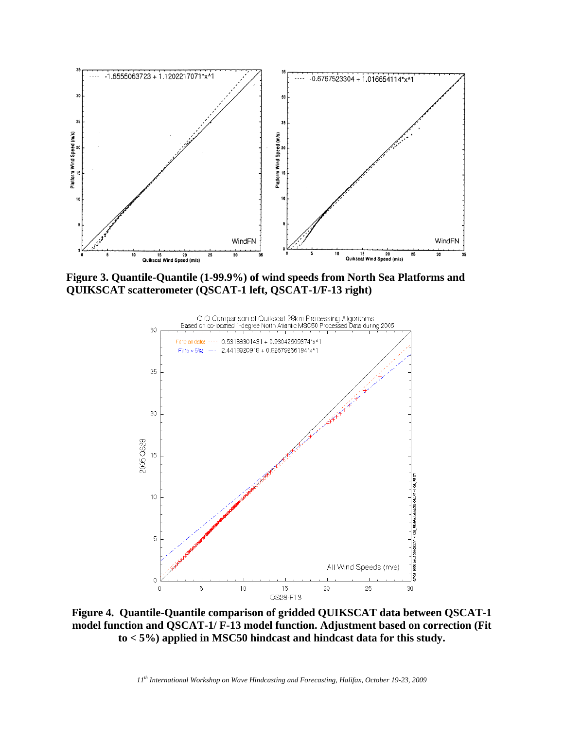

**Figure 3. Quantile-Quantile (1-99.9%) of wind speeds from North Sea Platforms and QUIKSCAT scatterometer (QSCAT-1 left, QSCAT-1/F-13 right)** 



**Figure 4. Quantile-Quantile comparison of gridded QUIKSCAT data between QSCAT-1 model function and QSCAT-1/ F-13 model function. Adjustment based on correction (Fit to < 5%) applied in MSC50 hindcast and hindcast data for this study.**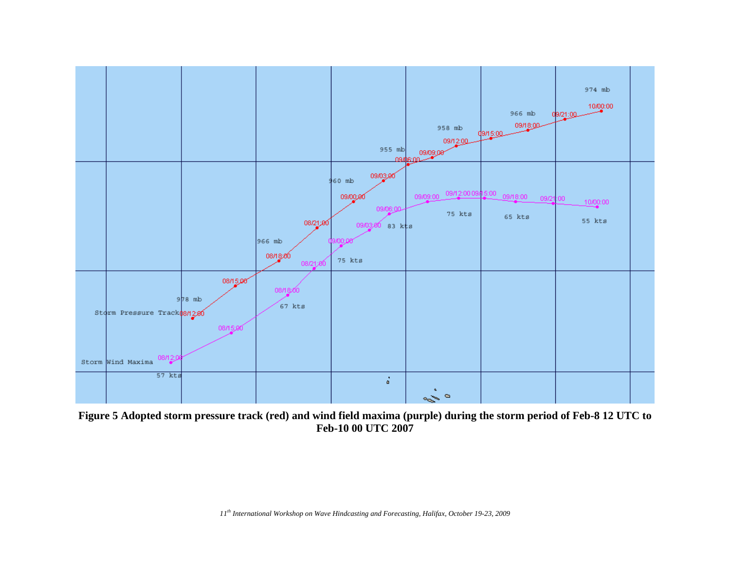

**Figure 5 Adopted storm pressure track (red) and wind field maxima (purple) during the storm period of Feb-8 12 UTC to Feb-10 00 UTC 2007**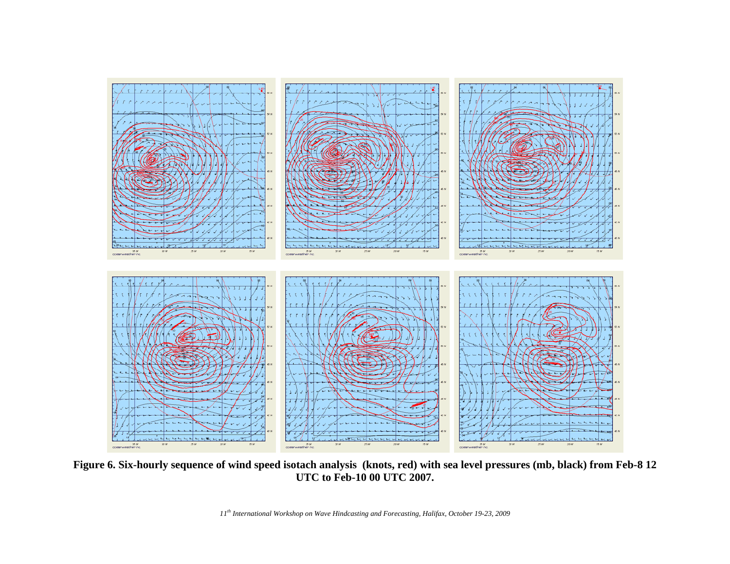![](_page_14_Figure_0.jpeg)

**Figure 6. Six-hourly sequence of wind speed isotach analysis (knots, red) with sea level pressures (mb, black) from Feb-8 12 UTC to Feb-10 00 UTC 2007.**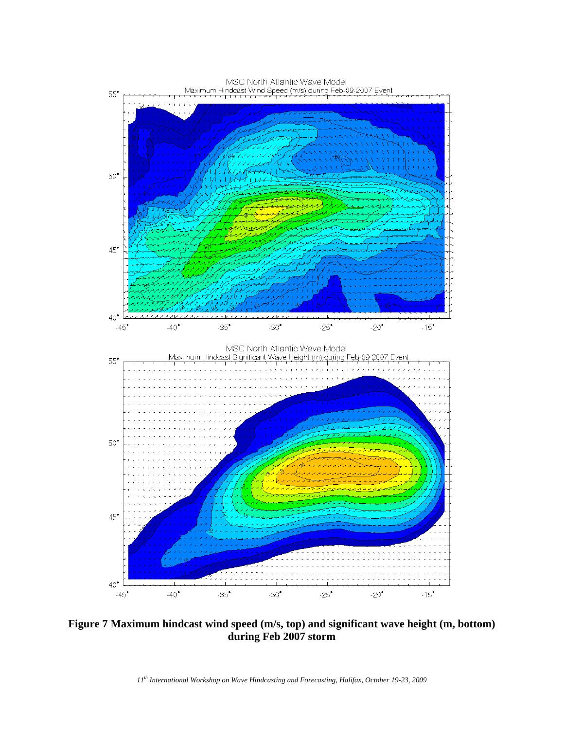![](_page_15_Figure_0.jpeg)

**Figure 7 Maximum hindcast wind speed (m/s, top) and significant wave height (m, bottom) during Feb 2007 storm**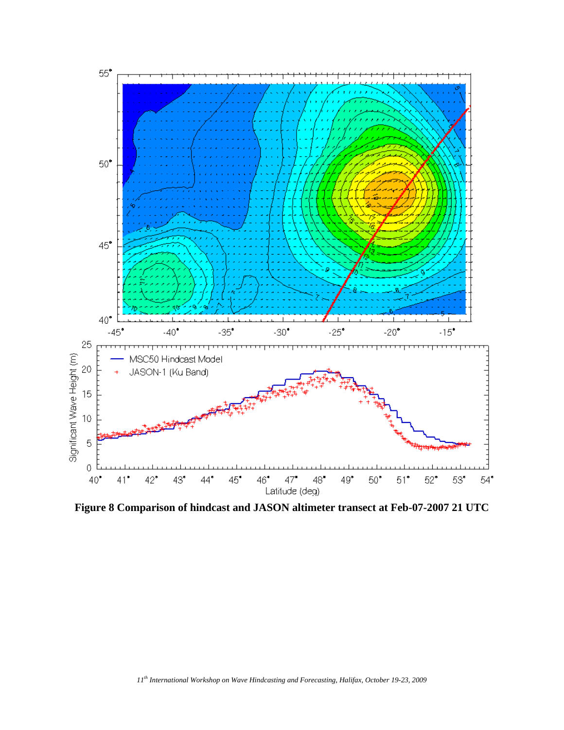![](_page_16_Figure_0.jpeg)

**Figure 8 Comparison of hindcast and JASON altimeter transect at Feb-07-2007 21 UTC**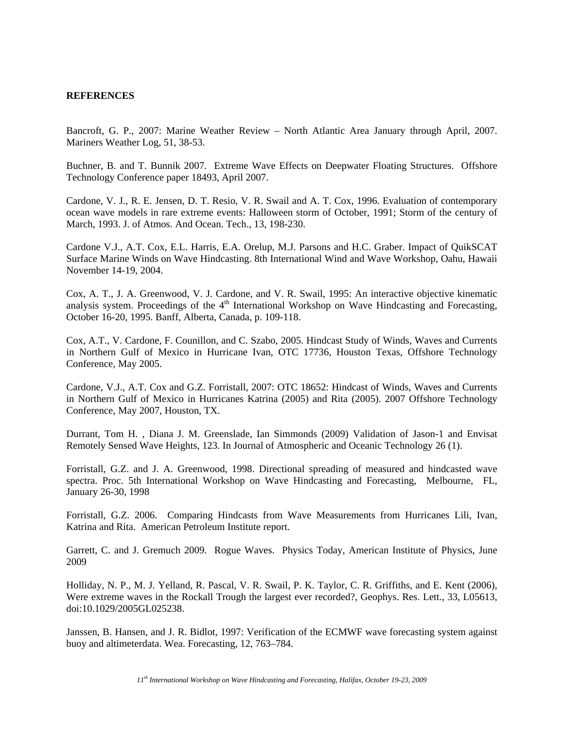#### **REFERENCES**

Bancroft, G. P., 2007: Marine Weather Review – North Atlantic Area January through April, 2007. Mariners Weather Log, 51, 38-53.

Buchner, B. and T. Bunnik 2007. Extreme Wave Effects on Deepwater Floating Structures. Offshore Technology Conference paper 18493, April 2007.

Cardone, V. J., R. E. Jensen, D. T. Resio, V. R. Swail and A. T. Cox, 1996. Evaluation of contemporary ocean wave models in rare extreme events: Halloween storm of October, 1991; Storm of the century of March, 1993. J. of Atmos. And Ocean. Tech., 13, 198-230.

Cardone V.J., A.T. Cox, E.L. Harris, E.A. Orelup, M.J. Parsons and H.C. Graber. Impact of QuikSCAT Surface Marine Winds on Wave Hindcasting. 8th International Wind and Wave Workshop, Oahu, Hawaii November 14-19, 2004.

Cox, A. T., J. A. Greenwood, V. J. Cardone, and V. R. Swail, 1995: An interactive objective kinematic analysis system. Proceedings of the  $4<sup>th</sup>$  International Workshop on Wave Hindcasting and Forecasting, October 16-20, 1995. Banff, Alberta, Canada, p. 109-118.

Cox, A.T., V. Cardone, F. Counillon, and C. Szabo, 2005. Hindcast Study of Winds, Waves and Currents in Northern Gulf of Mexico in Hurricane Ivan, OTC 17736, Houston Texas, Offshore Technology Conference, May 2005.

Cardone, V.J., A.T. Cox and G.Z. Forristall, 2007: OTC 18652: Hindcast of Winds, Waves and Currents in Northern Gulf of Mexico in Hurricanes Katrina (2005) and Rita (2005). 2007 Offshore Technology Conference, May 2007, Houston, TX.

Durrant, Tom H. , Diana J. M. Greenslade, Ian Simmonds (2009) Validation of Jason-1 and Envisat Remotely Sensed Wave Heights, 123. In Journal of Atmospheric and Oceanic Technology 26 (1).

Forristall, G.Z. and J. A. Greenwood, 1998. Directional spreading of measured and hindcasted wave spectra. Proc. 5th International Workshop on Wave Hindcasting and Forecasting, Melbourne, FL, January 26-30, 1998

Forristall, G.Z. 2006. Comparing Hindcasts from Wave Measurements from Hurricanes Lili, Ivan, Katrina and Rita. American Petroleum Institute report.

Garrett, C. and J. Gremuch 2009. Rogue Waves. Physics Today, American Institute of Physics, June 2009

Holliday, N. P., M. J. Yelland, R. Pascal, V. R. Swail, P. K. Taylor, C. R. Griffiths, and E. Kent (2006), Were extreme waves in the Rockall Trough the largest ever recorded?, Geophys. Res. Lett., 33, L05613, doi:10.1029/2005GL025238.

Janssen, B. Hansen, and J. R. Bidlot, 1997: Verification of the ECMWF wave forecasting system against buoy and altimeterdata. Wea. Forecasting, 12, 763–784.